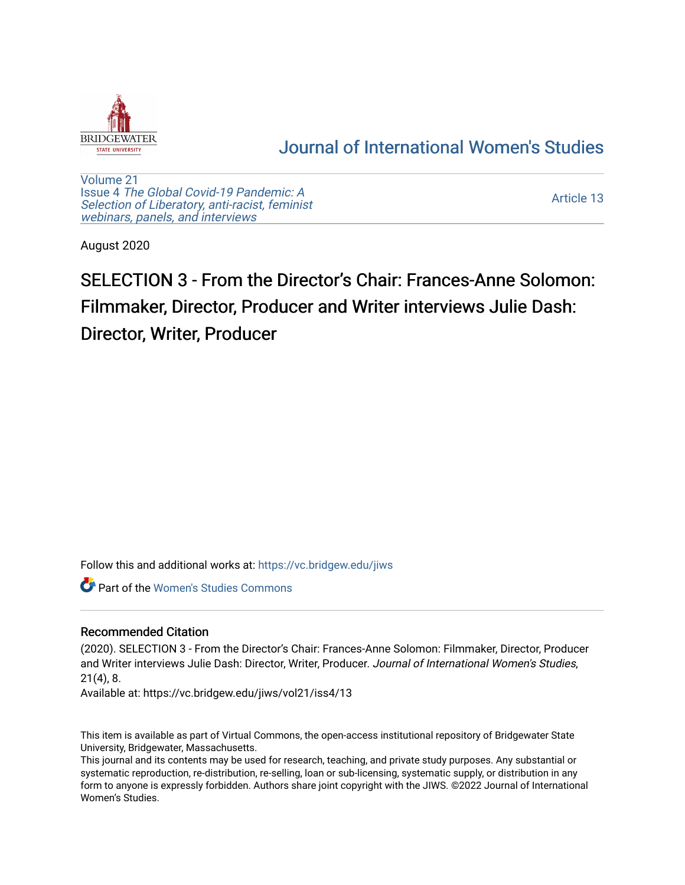

## [Journal of International Women's Studies](https://vc.bridgew.edu/jiws)

[Volume 21](https://vc.bridgew.edu/jiws/vol21) Issue 4 [The Global Covid-19 Pandemic: A](https://vc.bridgew.edu/jiws/vol21/iss4) [Selection of Liberatory, anti-racist, feminist](https://vc.bridgew.edu/jiws/vol21/iss4) [webinars, panels, and interviews](https://vc.bridgew.edu/jiws/vol21/iss4)

[Article 13](https://vc.bridgew.edu/jiws/vol21/iss4/13) 

August 2020

## SELECTION 3 - From the Director's Chair: Frances-Anne Solomon: Filmmaker, Director, Producer and Writer interviews Julie Dash: Director, Writer, Producer

Follow this and additional works at: [https://vc.bridgew.edu/jiws](https://vc.bridgew.edu/jiws?utm_source=vc.bridgew.edu%2Fjiws%2Fvol21%2Fiss4%2F13&utm_medium=PDF&utm_campaign=PDFCoverPages)

**C** Part of the Women's Studies Commons

## Recommended Citation

(2020). SELECTION 3 - From the Director's Chair: Frances-Anne Solomon: Filmmaker, Director, Producer and Writer interviews Julie Dash: Director, Writer, Producer. Journal of International Women's Studies, 21(4), 8.

Available at: https://vc.bridgew.edu/jiws/vol21/iss4/13

This item is available as part of Virtual Commons, the open-access institutional repository of Bridgewater State University, Bridgewater, Massachusetts.

This journal and its contents may be used for research, teaching, and private study purposes. Any substantial or systematic reproduction, re-distribution, re-selling, loan or sub-licensing, systematic supply, or distribution in any form to anyone is expressly forbidden. Authors share joint copyright with the JIWS. ©2022 Journal of International Women's Studies.